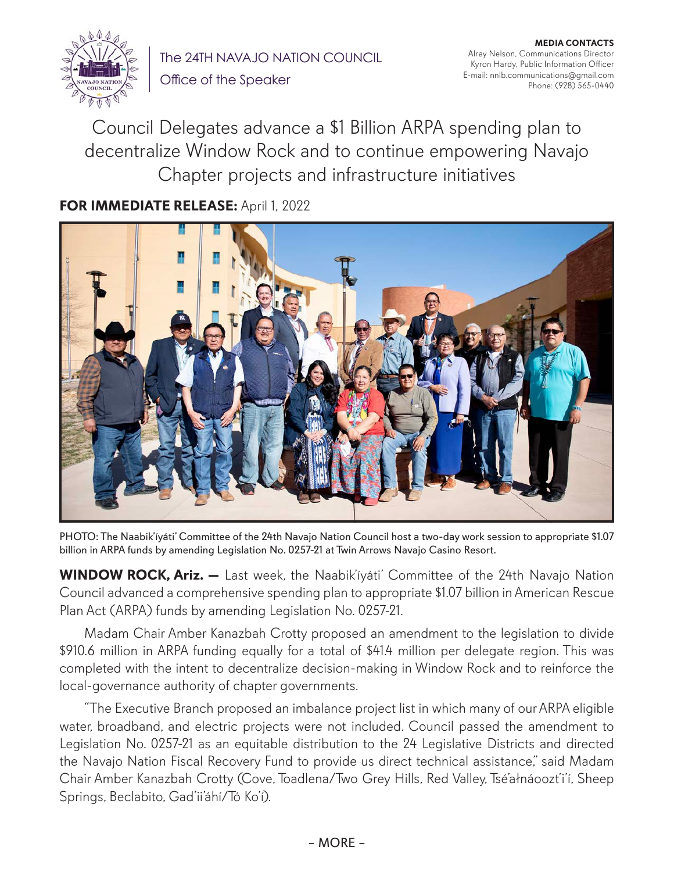

The 24TH NAVAJO NATION COUNCIL Office of the Speaker

**MEDIA CONTACTS** Alray Nelson, Communications Director Kyron Hardy, Public Information Officer E-mail: nnlb.communications@gmail.com Phone: (928) 565-0440

Council Delegates advance a \$1 Billion ARPA spending plan to decentralize Window Rock and to continue empowering Navajo Chapter projects and infrastructure initiatives

## **FOR IMMEDIATE RELEASE:** April 1, 2022



PHOTO: The Naabik'íyáti' Committee of the 24th Navajo Nation Council host a two-day work session to appropriate \$1.07 billion in ARPA funds by amending Legislation No. 0257-21 at Twin Arrows Navajo Casino Resort.

**WINDOW ROCK, Ariz.** - Last week, the Naabik'íyáti' Committee of the 24th Navajo Nation Council advanced a comprehensive spending plan to appropriate \$1.07 billion in American Rescue Plan Act (ARPA) funds by amending Legislation No. 0257-21.

Madam Chair Amber Kanazbah Crotty proposed an amendment to the legislation to divide \$910.6 million in ARPA funding equally for a total of \$41.4 million per delegate region. This was completed with the intent to decentralize decision-making in Window Rock and to reinforce the local-governance authority of chapter governments.

"The Executive Branch proposed an imbalance project list in which many of our ARPA eligible water, broadband, and electric projects were not included. Council passed the amendment to Legislation No. 0257-21 as an equitable distribution to the 24 Legislative Districts and directed the Navajo Nation Fiscal Recovery Fund to provide us direct technical assistance," said Madam Chair Amber Kanazbah Crotty (Cove, Toadlena/Two Grey Hills, Red Valley, Tsé'ałnáoozt'i'í, Sheep Springs, Beclabito, Gad'ii'áhí/Tó Ko'í).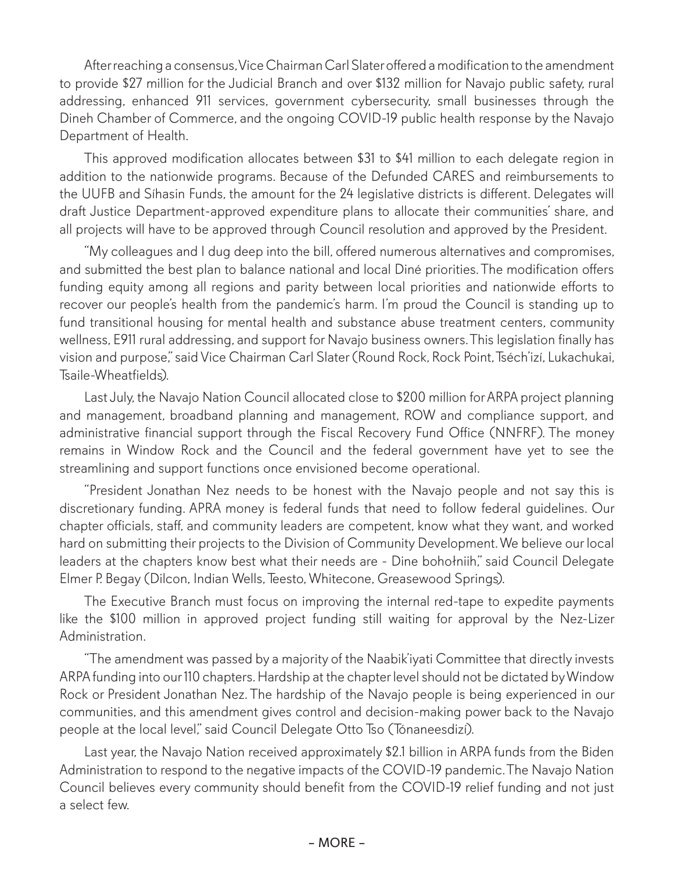After reaching a consensus, Vice Chairman Carl Slater offered a modification to the amendment to provide \$27 million for the Judicial Branch and over \$132 million for Navajo public safety, rural addressing, enhanced 911 services, government cybersecurity, small businesses through the Dineh Chamber of Commerce, and the ongoing COVID-19 public health response by the Navajo Department of Health.

This approved modification allocates between \$31 to \$41 million to each delegate region in addition to the nationwide programs. Because of the Defunded CARES and reimbursements to the UUFB and Síhasin Funds, the amount for the 24 legislative districts is different. Delegates will draft Justice Department-approved expenditure plans to allocate their communities' share, and all projects will have to be approved through Council resolution and approved by the President.

"My colleagues and I dug deep into the bill, offered numerous alternatives and compromises, and submitted the best plan to balance national and local Diné priorities. The modification offers funding equity among all regions and parity between local priorities and nationwide efforts to recover our people's health from the pandemic's harm. I'm proud the Council is standing up to fund transitional housing for mental health and substance abuse treatment centers, community wellness, E911 rural addressing, and support for Navajo business owners. This legislation finally has vision and purpose," said Vice Chairman Carl Slater (Round Rock, Rock Point, Tséch'izí, Lukachukai, Tsaile-Wheatfields).

Last July, the Navajo Nation Council allocated close to \$200 million for ARPA project planning and management, broadband planning and management, ROW and compliance support, and administrative financial support through the Fiscal Recovery Fund Office (NNFRF). The money remains in Window Rock and the Council and the federal government have yet to see the streamlining and support functions once envisioned become operational.

"President Jonathan Nez needs to be honest with the Navajo people and not say this is discretionary funding. APRA money is federal funds that need to follow federal guidelines. Our chapter officials, staff, and community leaders are competent, know what they want, and worked hard on submitting their projects to the Division of Community Development. We believe our local leaders at the chapters know best what their needs are - Dine bohołniih," said Council Delegate Elmer P. Begay (Dilcon, Indian Wells, Teesto, Whitecone, Greasewood Springs).

The Executive Branch must focus on improving the internal red-tape to expedite payments like the \$100 million in approved project funding still waiting for approval by the Nez-Lizer Administration.

"The amendment was passed by a majority of the Naabik'iyati Committee that directly invests ARPA funding into our 110 chapters. Hardship at the chapter level should not be dictated by Window Rock or President Jonathan Nez. The hardship of the Navajo people is being experienced in our communities, and this amendment gives control and decision-making power back to the Navajo people at the local level," said Council Delegate Otto Tso (Tónaneesdizí).

Last year, the Navajo Nation received approximately \$2.1 billion in ARPA funds from the Biden Administration to respond to the negative impacts of the COVID-19 pandemic. The Navajo Nation Council believes every community should benefit from the COVID-19 relief funding and not just a select few.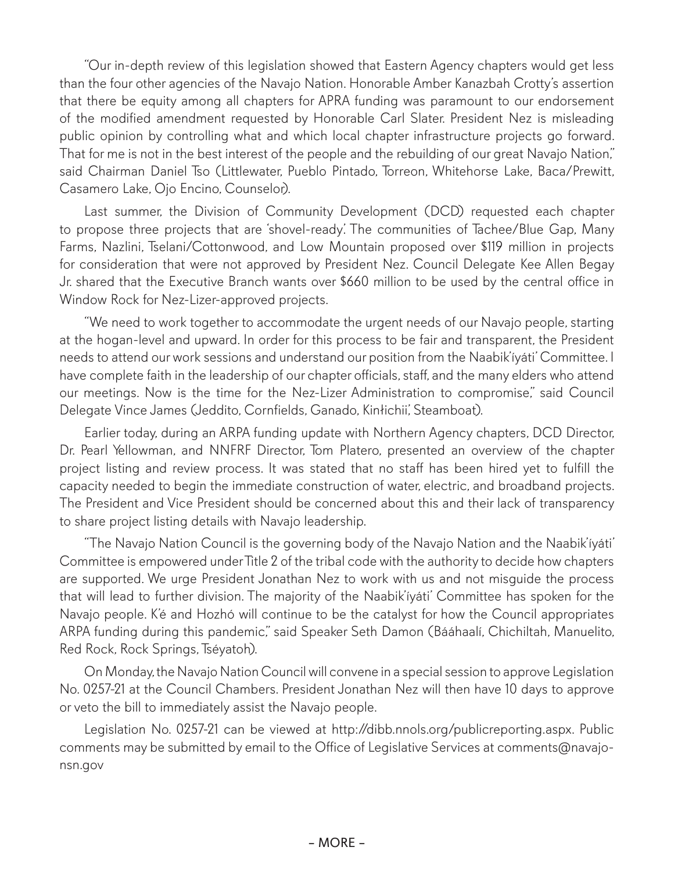"Our in-depth review of this legislation showed that Eastern Agency chapters would get less than the four other agencies of the Navajo Nation. Honorable Amber Kanazbah Crotty's assertion that there be equity among all chapters for APRA funding was paramount to our endorsement of the modified amendment requested by Honorable Carl Slater. President Nez is misleading public opinion by controlling what and which local chapter infrastructure projects go forward. That for me is not in the best interest of the people and the rebuilding of our great Navajo Nation," said Chairman Daniel Tso (Littlewater, Pueblo Pintado, Torreon, Whitehorse Lake, Baca/Prewitt, Casamero Lake, Ojo Encino, Counselor).

Last summer, the Division of Community Development (DCD) requested each chapter to propose three projects that are 'shovel-ready'. The communities of Tachee/Blue Gap, Many Farms, Nazlini, Tselani/Cottonwood, and Low Mountain proposed over \$119 million in projects for consideration that were not approved by President Nez. Council Delegate Kee Allen Begay Jr. shared that the Executive Branch wants over \$660 million to be used by the central office in Window Rock for Nez-Lizer-approved projects.

"We need to work together to accommodate the urgent needs of our Navajo people, starting at the hogan-level and upward. In order for this process to be fair and transparent, the President needs to attend our work sessions and understand our position from the Naabik'íyáti' Committee. I have complete faith in the leadership of our chapter officials, staff, and the many elders who attend our meetings. Now is the time for the Nez-Lizer Administration to compromise," said Council Delegate Vince James (Jeddito, Cornfields, Ganado, Kinłichii', Steamboat).

Earlier today, during an ARPA funding update with Northern Agency chapters, DCD Director, Dr. Pearl Yellowman, and NNFRF Director, Tom Platero, presented an overview of the chapter project listing and review process. It was stated that no staff has been hired yet to fulfill the capacity needed to begin the immediate construction of water, electric, and broadband projects. The President and Vice President should be concerned about this and their lack of transparency to share project listing details with Navajo leadership.

"The Navajo Nation Council is the governing body of the Navajo Nation and the Naabik'íyáti' Committee is empowered under Title 2 of the tribal code with the authority to decide how chapters are supported. We urge President Jonathan Nez to work with us and not misguide the process that will lead to further division. The majority of the Naabik'íyáti' Committee has spoken for the Navajo people. K'é and Hozhó will continue to be the catalyst for how the Council appropriates ARPA funding during this pandemic," said Speaker Seth Damon (Bááhaalí, Chichiltah, Manuelito, Red Rock, Rock Springs, Tséyatoh).

On Monday, the Navajo Nation Council will convene in a special session to approve Legislation No. 0257-21 at the Council Chambers. President Jonathan Nez will then have 10 days to approve or veto the bill to immediately assist the Navajo people.

Legislation No. 0257-21 can be viewed at http://dibb.nnols.org/publicreporting.aspx. Public comments may be submitted by email to the Office of Legislative Services at comments@navajonsn.gov